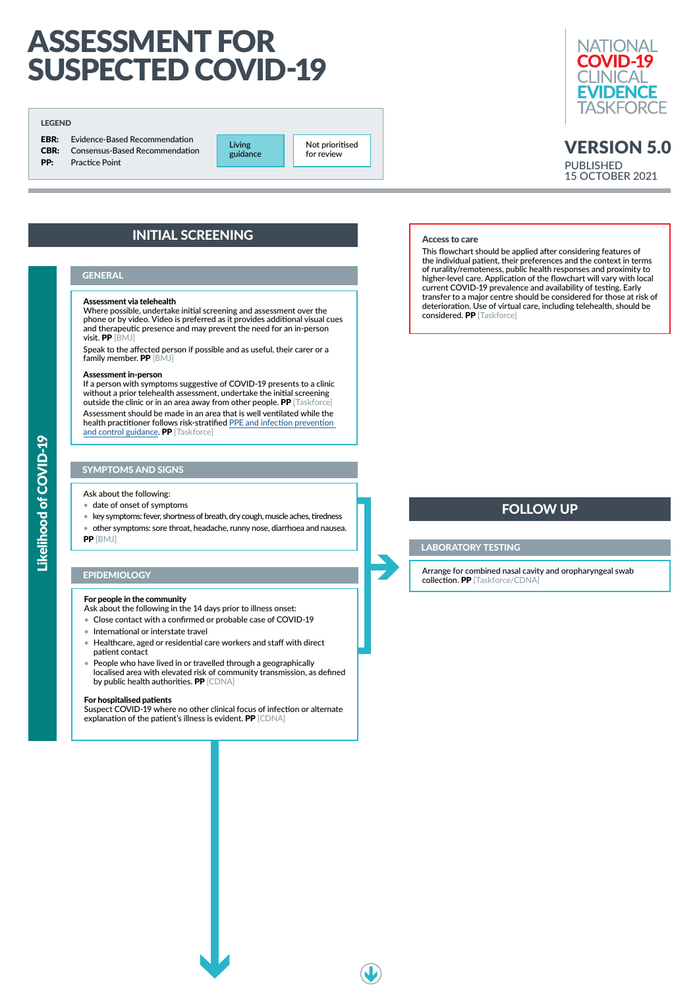

#### Assessment via telehealth

Where possible, undertake initial screening and assessment over the phone or by video. Video is preferred as it provides additional visual cues and therapeutic presence and may prevent the need for an in-person visit. PP [BMJ]

If a person with symptoms suggestive of COVID-19 presents to a clinic without a prior telehealth assessment, undertake the initial screening outside the clinic or in an area away from other people. PP [Taskforce]

Speak to the affected person if possible and as useful, their carer or a family member. PP [BMJ]

#### Assessment in-person

- Close contact with a confirmed or probable case of COVID-19
- International or interstate travel
- Healthcare, aged or residential care workers and staff with direct patient contact
- People who have lived in or travelled through a geographically localised area with elevated risk of community transmission, as defined by public health authorities. **PP** [CDNA]

Assessment should be made in an area that is well ventilated while the health practitioner follows risk-stratified [PPE and infection prevention](https://app.magicapp.org/#/guideline/ERWdzj)  [and control guidance](https://app.magicapp.org/#/guideline/ERWdzj). PP [Taskforce]

#### SYMPTOMS AND SIGNS

Ask about the following:

- date of onset of symptoms
- key symptoms: fever, shortness of breath, dry cough, muscle aches, tiredness
- other symptoms: sore throat, headache, runny nose, diarrhoea and nausea. PP [BMJ]

#### EPIDEMIOLOGY

#### For people in the community

Ask about the following in the 14 days prior to illness onset:

#### For hospitalised patients

Suspect COVID-19 where no other clinical focus of infection or alternate explanation of the patient's illness is evident. PP [CDNA]

# ASSESSMENT FOR SUSPECTED COVID-19

## VERSION 5.0 PUBLISHED 15 OCTOBER 2021

# INITIAL SCREENING

#### **GENERAL**

#### LABORATORY TESTING

Arrange for combined nasal cavity and oropharyngeal swab collection. PP [Taskforce/CDNA]

# FOLLOW UP

#### Access to care

This flowchart should be applied after considering features of the individual patient, their preferences and the context in terms of rurality/remoteness, public health responses and proximity to higher-level care. Application of the flowchart will vary with local current COVID-19 prevalence and availability of testing. Early transfer to a major centre should be considered for those at risk of deterioration. Use of virtual care, including telehealth, should be considered. PP [Taskforce]

#### LEGEND

**EBR:** Evidence-Based Recommendation CBR: Consensus-Based Recommendation **PP:** Practice Point

Living guidance

Not prioritised for review